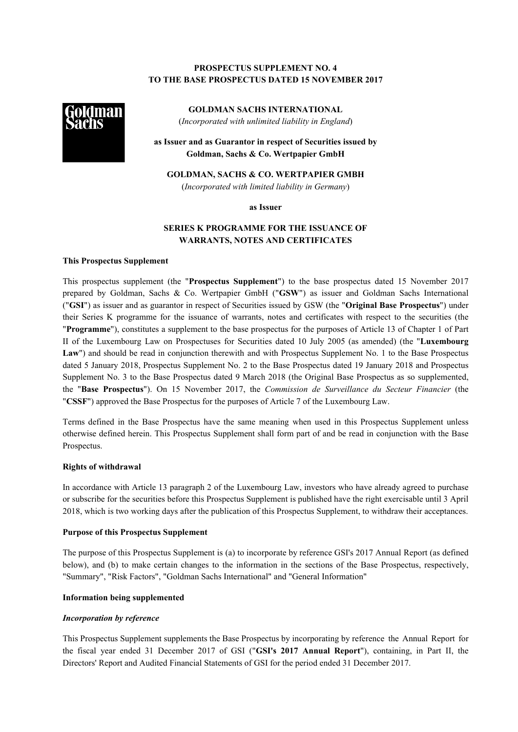# **PROSPECTUS SUPPLEMENT NO. 4 TO THE BASE PROSPECTUS DATED 15 NOVEMBER 2017**



**GOLDMAN SACHS INTERNATIONAL** (*Incorporated with unlimited liability in England*)

**as Issuer and as Guarantor in respect of Securities issued by Goldman, Sachs & Co. Wertpapier GmbH**

**GOLDMAN, SACHS & CO. WERTPAPIER GMBH** (*Incorporated with limited liability in Germany*)

**as Issuer**

# **SERIES K PROGRAMME FOR THE ISSUANCE OF WARRANTS, NOTES AND CERTIFICATES**

### **This Prospectus Supplement**

This prospectus supplement (the "**Prospectus Supplement**") to the base prospectus dated 15 November 2017 prepared by Goldman, Sachs & Co. Wertpapier GmbH ("**GSW**") as issuer and Goldman Sachs International ("**GSI**") as issuer and as guarantor in respect of Securities issued by GSW (the "**Original Base Prospectus**") under their Series K programme for the issuance of warrants, notes and certificates with respect to the securities (the "**Programme**"), constitutes a supplement to the base prospectus for the purposes of Article 13 of Chapter 1 of Part II of the Luxembourg Law on Prospectuses for Securities dated 10 July 2005 (as amended) (the "**Luxembourg Law**") and should be read in conjunction therewith and with Prospectus Supplement No. 1 to the Base Prospectus dated 5 January 2018, Prospectus Supplement No. 2 to the Base Prospectus dated 19 January 2018 and Prospectus Supplement No. 3 to the Base Prospectus dated 9 March 2018 (the Original Base Prospectus as so supplemented, the "**Base Prospectus**"). On 15 November 2017, the *Commission de Surveillance du Secteur Financier* (the "**CSSF**") approved the Base Prospectus for the purposes of Article 7 of the Luxembourg Law.

Terms defined in the Base Prospectus have the same meaning when used in this Prospectus Supplement unless otherwise defined herein. This Prospectus Supplement shall form part of and be read in conjunction with the Base Prospectus.

#### **Rights of withdrawal**

In accordance with Article 13 paragraph 2 of the Luxembourg Law, investors who have already agreed to purchase or subscribe for the securities before this Prospectus Supplement is published have the right exercisable until 3 April 2018, which is two working days after the publication of this Prospectus Supplement, to withdraw their acceptances.

### **Purpose of this Prospectus Supplement**

The purpose of this Prospectus Supplement is (a) to incorporate by reference GSI's 2017 Annual Report (as defined below), and (b) to make certain changes to the information in the sections of the Base Prospectus, respectively, "Summary", "Risk Factors", "Goldman Sachs International" and "General Information"

### **Information being supplemented**

### *Incorporation by reference*

This Prospectus Supplement supplements the Base Prospectus by incorporating by reference the Annual Report for the fiscal year ended 31 December 2017 of GSI ("**GSI's 2017 Annual Report**"), containing, in Part II, the Directors' Report and Audited Financial Statements of GSI for the period ended 31 December 2017.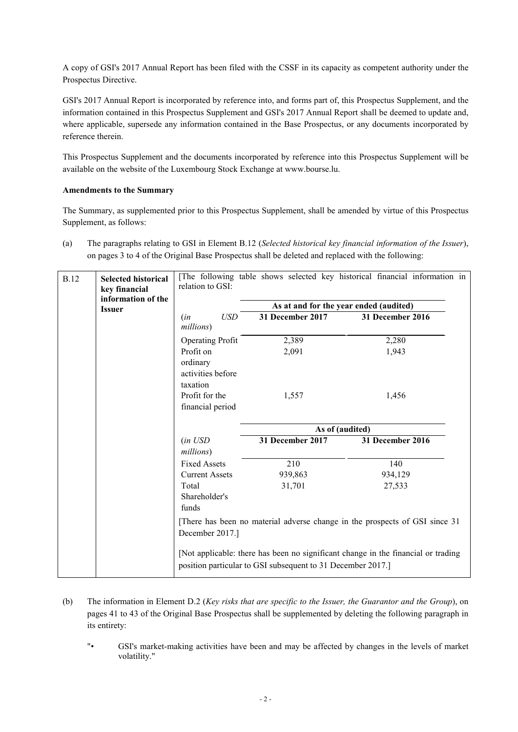A copy of GSI's 2017 Annual Report has been filed with the CSSF in its capacity as competent authority under the Prospectus Directive.

GSI's 2017 Annual Report is incorporated by reference into, and forms part of, this Prospectus Supplement, and the information contained in this Prospectus Supplement and GSI's 2017 Annual Report shall be deemed to update and, where applicable, supersede any information contained in the Base Prospectus, or any documents incorporated by reference therein.

This Prospectus Supplement and the documents incorporated by reference into this Prospectus Supplement will be available on the website of the Luxembourg Stock Exchange at www.bourse.lu.

# **Amendments to the Summary**

The Summary, as supplemented prior to this Prospectus Supplement, shall be amended by virtue of this Prospectus Supplement, as follows:

(a) The paragraphs relating to GSI in Element B.12 (*Selected historical key financial information of the Issuer*), on pages 3 to 4 of the Original Base Prospectus shall be deleted and replaced with the following:

| <b>B.12</b><br><b>Issuer</b>                                                                                                                     | <b>Selected historical</b><br>key financial<br>information of the | relation to GSI:                               |                  | [The following table shows selected key historical financial information in |
|--------------------------------------------------------------------------------------------------------------------------------------------------|-------------------------------------------------------------------|------------------------------------------------|------------------|-----------------------------------------------------------------------------|
|                                                                                                                                                  |                                                                   | As at and for the year ended (audited)         |                  |                                                                             |
|                                                                                                                                                  |                                                                   | <b>USD</b><br>(in<br>millions)                 | 31 December 2017 | 31 December 2016                                                            |
|                                                                                                                                                  |                                                                   | <b>Operating Profit</b>                        | 2,389            | 2,280                                                                       |
|                                                                                                                                                  |                                                                   | Profit on<br>ordinary<br>activities before     | 2,091            | 1,943                                                                       |
|                                                                                                                                                  |                                                                   | taxation<br>Profit for the<br>financial period | 1,557            | 1,456                                                                       |
|                                                                                                                                                  |                                                                   |                                                | As of (audited)  |                                                                             |
|                                                                                                                                                  |                                                                   | $(in$ $USD$<br>millions)                       | 31 December 2017 | 31 December 2016                                                            |
|                                                                                                                                                  |                                                                   | <b>Fixed Assets</b>                            | 210              | 140                                                                         |
|                                                                                                                                                  |                                                                   | <b>Current Assets</b>                          | 939,863          | 934,129                                                                     |
|                                                                                                                                                  |                                                                   | Total<br>Shareholder's<br>funds                | 31,701           | 27,533                                                                      |
|                                                                                                                                                  |                                                                   | December 2017.]                                |                  | [There has been no material adverse change in the prospects of GSI since 31 |
| [Not applicable: there has been no significant change in the financial or trading<br>position particular to GSI subsequent to 31 December 2017.] |                                                                   |                                                |                  |                                                                             |

- (b) The information in Element D.2 (*Key risks that are specific to the Issuer, the Guarantor and the Group*), on pages 41 to 43 of the Original Base Prospectus shall be supplemented by deleting the following paragraph in its entirety:
	- "• GSI's market-making activities have been and may be affected by changes in the levels of market volatility."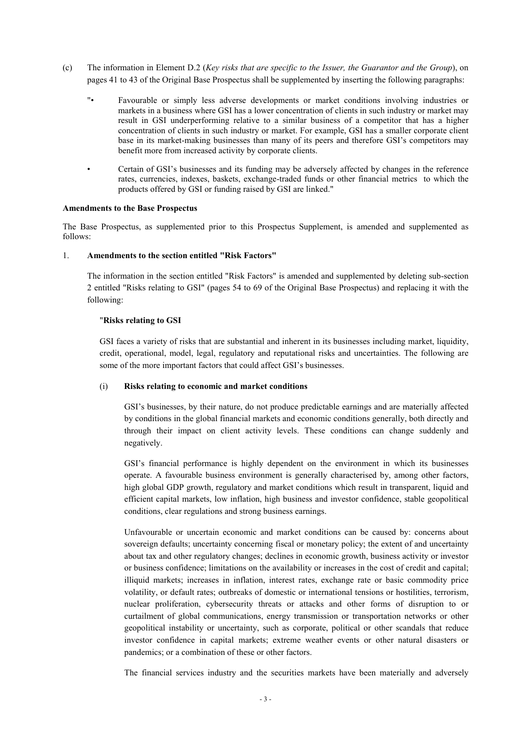- (c) The information in Element D.2 (*Key risks that are specific to the Issuer, the Guarantor and the Group*), on pages 41 to 43 of the Original Base Prospectus shall be supplemented by inserting the following paragraphs:
	- "• Favourable or simply less adverse developments or market conditions involving industries or markets in a business where GSI has a lower concentration of clients in such industry or market may result in GSI underperforming relative to a similar business of a competitor that has a higher concentration of clients in such industry or market. For example, GSI has a smaller corporate client base in its market-making businesses than many of its peers and therefore GSI's competitors may benefit more from increased activity by corporate clients.
	- Certain of GSI's businesses and its funding may be adversely affected by changes in the reference rates, currencies, indexes, baskets, exchange-traded funds or other financial metrics to which the products offered by GSI or funding raised by GSI are linked."

### **Amendments to the Base Prospectus**

The Base Prospectus, as supplemented prior to this Prospectus Supplement, is amended and supplemented as follows:

### 1. **Amendments to the section entitled "Risk Factors"**

The information in the section entitled "Risk Factors" is amended and supplemented by deleting sub-section 2 entitled "Risks relating to GSI" (pages 54 to 69 of the Original Base Prospectus) and replacing it with the following:

### "**Risks relating to GSI**

GSI faces a variety of risks that are substantial and inherent in its businesses including market, liquidity, credit, operational, model, legal, regulatory and reputational risks and uncertainties. The following are some of the more important factors that could affect GSI's businesses.

### (i) **Risks relating to economic and market conditions**

GSI's businesses, by their nature, do not produce predictable earnings and are materially affected by conditions in the global financial markets and economic conditions generally, both directly and through their impact on client activity levels. These conditions can change suddenly and negatively.

GSI's financial performance is highly dependent on the environment in which its businesses operate. A favourable business environment is generally characterised by, among other factors, high global GDP growth, regulatory and market conditions which result in transparent, liquid and efficient capital markets, low inflation, high business and investor confidence, stable geopolitical conditions, clear regulations and strong business earnings.

Unfavourable or uncertain economic and market conditions can be caused by: concerns about sovereign defaults; uncertainty concerning fiscal or monetary policy; the extent of and uncertainty about tax and other regulatory changes; declines in economic growth, business activity or investor or business confidence; limitations on the availability or increases in the cost of credit and capital; illiquid markets; increases in inflation, interest rates, exchange rate or basic commodity price volatility, or default rates; outbreaks of domestic or international tensions or hostilities, terrorism, nuclear proliferation, cybersecurity threats or attacks and other forms of disruption to or curtailment of global communications, energy transmission or transportation networks or other geopolitical instability or uncertainty, such as corporate, political or other scandals that reduce investor confidence in capital markets; extreme weather events or other natural disasters or pandemics; or a combination of these or other factors.

The financial services industry and the securities markets have been materially and adversely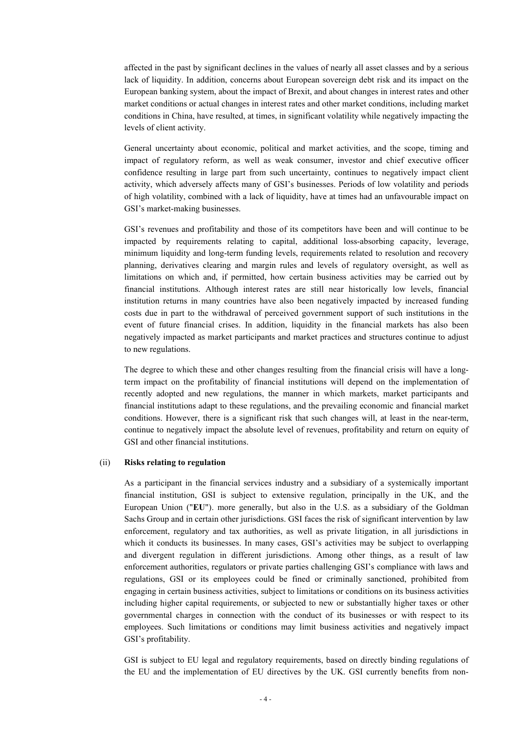affected in the past by significant declines in the values of nearly all asset classes and by a serious lack of liquidity. In addition, concerns about European sovereign debt risk and its impact on the European banking system, about the impact of Brexit, and about changes in interest rates and other market conditions or actual changes in interest rates and other market conditions, including market conditions in China, have resulted, at times, in significant volatility while negatively impacting the levels of client activity.

General uncertainty about economic, political and market activities, and the scope, timing and impact of regulatory reform, as well as weak consumer, investor and chief executive officer confidence resulting in large part from such uncertainty, continues to negatively impact client activity, which adversely affects many of GSI's businesses. Periods of low volatility and periods of high volatility, combined with a lack of liquidity, have at times had an unfavourable impact on GSI's market-making businesses.

GSI's revenues and profitability and those of its competitors have been and will continue to be impacted by requirements relating to capital, additional loss-absorbing capacity, leverage, minimum liquidity and long-term funding levels, requirements related to resolution and recovery planning, derivatives clearing and margin rules and levels of regulatory oversight, as well as limitations on which and, if permitted, how certain business activities may be carried out by financial institutions. Although interest rates are still near historically low levels, financial institution returns in many countries have also been negatively impacted by increased funding costs due in part to the withdrawal of perceived government support of such institutions in the event of future financial crises. In addition, liquidity in the financial markets has also been negatively impacted as market participants and market practices and structures continue to adjust to new regulations.

The degree to which these and other changes resulting from the financial crisis will have a longterm impact on the profitability of financial institutions will depend on the implementation of recently adopted and new regulations, the manner in which markets, market participants and financial institutions adapt to these regulations, and the prevailing economic and financial market conditions. However, there is a significant risk that such changes will, at least in the near-term, continue to negatively impact the absolute level of revenues, profitability and return on equity of GSI and other financial institutions.

#### (ii) **Risks relating to regulation**

As a participant in the financial services industry and a subsidiary of a systemically important financial institution, GSI is subject to extensive regulation, principally in the UK, and the European Union ("**EU**"). more generally, but also in the U.S. as a subsidiary of the Goldman Sachs Group and in certain other jurisdictions. GSI faces the risk of significant intervention by law enforcement, regulatory and tax authorities, as well as private litigation, in all jurisdictions in which it conducts its businesses. In many cases, GSI's activities may be subject to overlapping and divergent regulation in different jurisdictions. Among other things, as a result of law enforcement authorities, regulators or private parties challenging GSI's compliance with laws and regulations, GSI or its employees could be fined or criminally sanctioned, prohibited from engaging in certain business activities, subject to limitations or conditions on its business activities including higher capital requirements, or subjected to new or substantially higher taxes or other governmental charges in connection with the conduct of its businesses or with respect to its employees. Such limitations or conditions may limit business activities and negatively impact GSI's profitability.

GSI is subject to EU legal and regulatory requirements, based on directly binding regulations of the EU and the implementation of EU directives by the UK. GSI currently benefits from non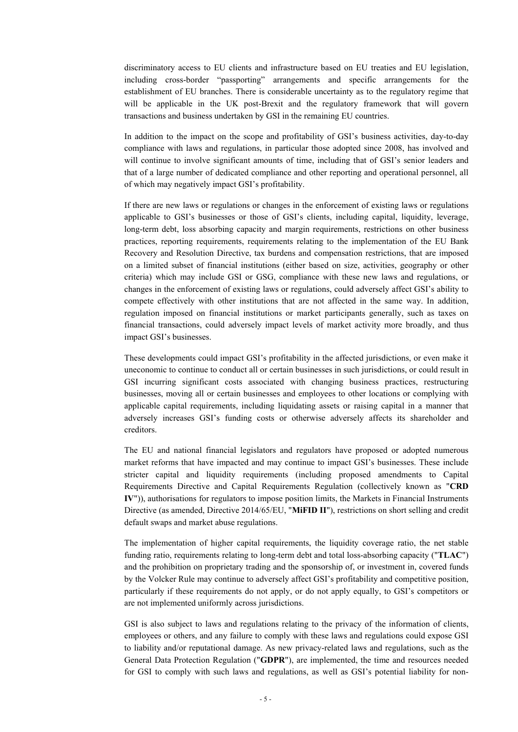discriminatory access to EU clients and infrastructure based on EU treaties and EU legislation, including cross-border "passporting" arrangements and specific arrangements for the establishment of EU branches. There is considerable uncertainty as to the regulatory regime that will be applicable in the UK post-Brexit and the regulatory framework that will govern transactions and business undertaken by GSI in the remaining EU countries.

In addition to the impact on the scope and profitability of GSI's business activities, day-to-day compliance with laws and regulations, in particular those adopted since 2008, has involved and will continue to involve significant amounts of time, including that of GSI's senior leaders and that of a large number of dedicated compliance and other reporting and operational personnel, all of which may negatively impact GSI's profitability.

If there are new laws or regulations or changes in the enforcement of existing laws or regulations applicable to GSI's businesses or those of GSI's clients, including capital, liquidity, leverage, long-term debt, loss absorbing capacity and margin requirements, restrictions on other business practices, reporting requirements, requirements relating to the implementation of the EU Bank Recovery and Resolution Directive, tax burdens and compensation restrictions, that are imposed on a limited subset of financial institutions (either based on size, activities, geography or other criteria) which may include GSI or GSG, compliance with these new laws and regulations, or changes in the enforcement of existing laws or regulations, could adversely affect GSI's ability to compete effectively with other institutions that are not affected in the same way. In addition, regulation imposed on financial institutions or market participants generally, such as taxes on financial transactions, could adversely impact levels of market activity more broadly, and thus impact GSI's businesses.

These developments could impact GSI's profitability in the affected jurisdictions, or even make it uneconomic to continue to conduct all or certain businesses in such jurisdictions, or could result in GSI incurring significant costs associated with changing business practices, restructuring businesses, moving all or certain businesses and employees to other locations or complying with applicable capital requirements, including liquidating assets or raising capital in a manner that adversely increases GSI's funding costs or otherwise adversely affects its shareholder and creditors.

The EU and national financial legislators and regulators have proposed or adopted numerous market reforms that have impacted and may continue to impact GSI's businesses. These include stricter capital and liquidity requirements (including proposed amendments to Capital Requirements Directive and Capital Requirements Regulation (collectively known as "**CRD IV**")), authorisations for regulators to impose position limits, the Markets in Financial Instruments Directive (as amended, Directive 2014/65/EU, "**MiFID II**"), restrictions on short selling and credit default swaps and market abuse regulations.

The implementation of higher capital requirements, the liquidity coverage ratio, the net stable funding ratio, requirements relating to long-term debt and total loss-absorbing capacity ("**TLAC**") and the prohibition on proprietary trading and the sponsorship of, or investment in, covered funds by the Volcker Rule may continue to adversely affect GSI's profitability and competitive position, particularly if these requirements do not apply, or do not apply equally, to GSI's competitors or are not implemented uniformly across jurisdictions.

GSI is also subject to laws and regulations relating to the privacy of the information of clients, employees or others, and any failure to comply with these laws and regulations could expose GSI to liability and/or reputational damage. As new privacy-related laws and regulations, such as the General Data Protection Regulation ("**GDPR**"), are implemented, the time and resources needed for GSI to comply with such laws and regulations, as well as GSI's potential liability for non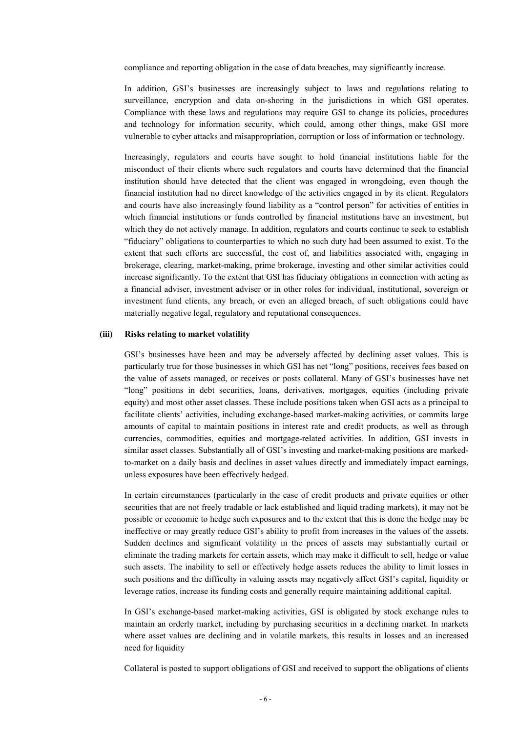compliance and reporting obligation in the case of data breaches, may significantly increase.

In addition, GSI's businesses are increasingly subject to laws and regulations relating to surveillance, encryption and data on-shoring in the jurisdictions in which GSI operates. Compliance with these laws and regulations may require GSI to change its policies, procedures and technology for information security, which could, among other things, make GSI more vulnerable to cyber attacks and misappropriation, corruption or loss of information or technology.

Increasingly, regulators and courts have sought to hold financial institutions liable for the misconduct of their clients where such regulators and courts have determined that the financial institution should have detected that the client was engaged in wrongdoing, even though the financial institution had no direct knowledge of the activities engaged in by its client. Regulators and courts have also increasingly found liability as a "control person" for activities of entities in which financial institutions or funds controlled by financial institutions have an investment, but which they do not actively manage. In addition, regulators and courts continue to seek to establish "fiduciary" obligations to counterparties to which no such duty had been assumed to exist. To the extent that such efforts are successful, the cost of, and liabilities associated with, engaging in brokerage, clearing, market-making, prime brokerage, investing and other similar activities could increase significantly. To the extent that GSI has fiduciary obligations in connection with acting as a financial adviser, investment adviser or in other roles for individual, institutional, sovereign or investment fund clients, any breach, or even an alleged breach, of such obligations could have materially negative legal, regulatory and reputational consequences.

#### **(iii) Risks relating to market volatility**

GSI's businesses have been and may be adversely affected by declining asset values. This is particularly true for those businesses in which GSI has net "long" positions, receives fees based on the value of assets managed, or receives or posts collateral. Many of GSI's businesses have net "long" positions in debt securities, loans, derivatives, mortgages, equities (including private equity) and most other asset classes. These include positions taken when GSI acts as a principal to facilitate clients' activities, including exchange-based market-making activities, or commits large amounts of capital to maintain positions in interest rate and credit products, as well as through currencies, commodities, equities and mortgage-related activities. In addition, GSI invests in similar asset classes. Substantially all of GSI's investing and market-making positions are markedto-market on a daily basis and declines in asset values directly and immediately impact earnings, unless exposures have been effectively hedged.

In certain circumstances (particularly in the case of credit products and private equities or other securities that are not freely tradable or lack established and liquid trading markets), it may not be possible or economic to hedge such exposures and to the extent that this is done the hedge may be ineffective or may greatly reduce GSI's ability to profit from increases in the values of the assets. Sudden declines and significant volatility in the prices of assets may substantially curtail or eliminate the trading markets for certain assets, which may make it difficult to sell, hedge or value such assets. The inability to sell or effectively hedge assets reduces the ability to limit losses in such positions and the difficulty in valuing assets may negatively affect GSI's capital, liquidity or leverage ratios, increase its funding costs and generally require maintaining additional capital.

In GSI's exchange-based market-making activities, GSI is obligated by stock exchange rules to maintain an orderly market, including by purchasing securities in a declining market. In markets where asset values are declining and in volatile markets, this results in losses and an increased need for liquidity

Collateral is posted to support obligations of GSI and received to support the obligations of clients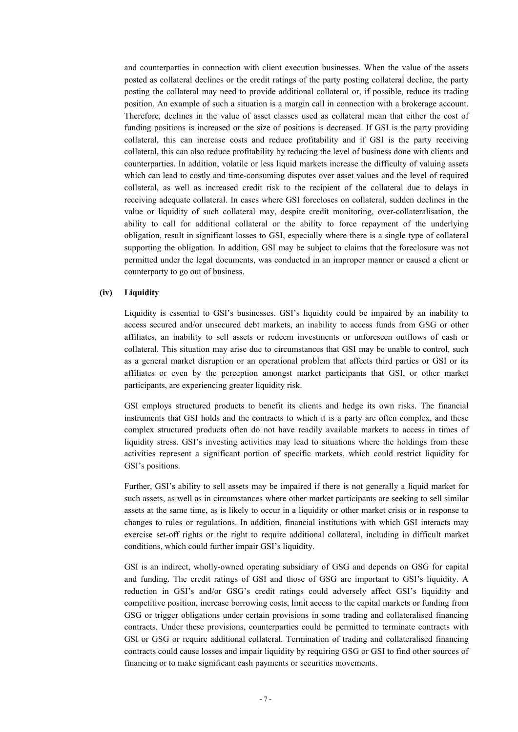and counterparties in connection with client execution businesses. When the value of the assets posted as collateral declines or the credit ratings of the party posting collateral decline, the party posting the collateral may need to provide additional collateral or, if possible, reduce its trading position. An example of such a situation is a margin call in connection with a brokerage account. Therefore, declines in the value of asset classes used as collateral mean that either the cost of funding positions is increased or the size of positions is decreased. If GSI is the party providing collateral, this can increase costs and reduce profitability and if GSI is the party receiving collateral, this can also reduce profitability by reducing the level of business done with clients and counterparties. In addition, volatile or less liquid markets increase the difficulty of valuing assets which can lead to costly and time-consuming disputes over asset values and the level of required collateral, as well as increased credit risk to the recipient of the collateral due to delays in receiving adequate collateral. In cases where GSI forecloses on collateral, sudden declines in the value or liquidity of such collateral may, despite credit monitoring, over-collateralisation, the ability to call for additional collateral or the ability to force repayment of the underlying obligation, result in significant losses to GSI, especially where there is a single type of collateral supporting the obligation. In addition, GSI may be subject to claims that the foreclosure was not permitted under the legal documents, was conducted in an improper manner or caused a client or counterparty to go out of business.

### **(iv) Liquidity**

Liquidity is essential to GSI's businesses. GSI's liquidity could be impaired by an inability to access secured and/or unsecured debt markets, an inability to access funds from GSG or other affiliates, an inability to sell assets or redeem investments or unforeseen outflows of cash or collateral. This situation may arise due to circumstances that GSI may be unable to control, such as a general market disruption or an operational problem that affects third parties or GSI or its affiliates or even by the perception amongst market participants that GSI, or other market participants, are experiencing greater liquidity risk.

GSI employs structured products to benefit its clients and hedge its own risks. The financial instruments that GSI holds and the contracts to which it is a party are often complex, and these complex structured products often do not have readily available markets to access in times of liquidity stress. GSI's investing activities may lead to situations where the holdings from these activities represent a significant portion of specific markets, which could restrict liquidity for GSI's positions.

Further, GSI's ability to sell assets may be impaired if there is not generally a liquid market for such assets, as well as in circumstances where other market participants are seeking to sell similar assets at the same time, as is likely to occur in a liquidity or other market crisis or in response to changes to rules or regulations. In addition, financial institutions with which GSI interacts may exercise set-off rights or the right to require additional collateral, including in difficult market conditions, which could further impair GSI's liquidity.

GSI is an indirect, wholly-owned operating subsidiary of GSG and depends on GSG for capital and funding. The credit ratings of GSI and those of GSG are important to GSI's liquidity. A reduction in GSI's and/or GSG's credit ratings could adversely affect GSI's liquidity and competitive position, increase borrowing costs, limit access to the capital markets or funding from GSG or trigger obligations under certain provisions in some trading and collateralised financing contracts. Under these provisions, counterparties could be permitted to terminate contracts with GSI or GSG or require additional collateral. Termination of trading and collateralised financing contracts could cause losses and impair liquidity by requiring GSG or GSI to find other sources of financing or to make significant cash payments or securities movements.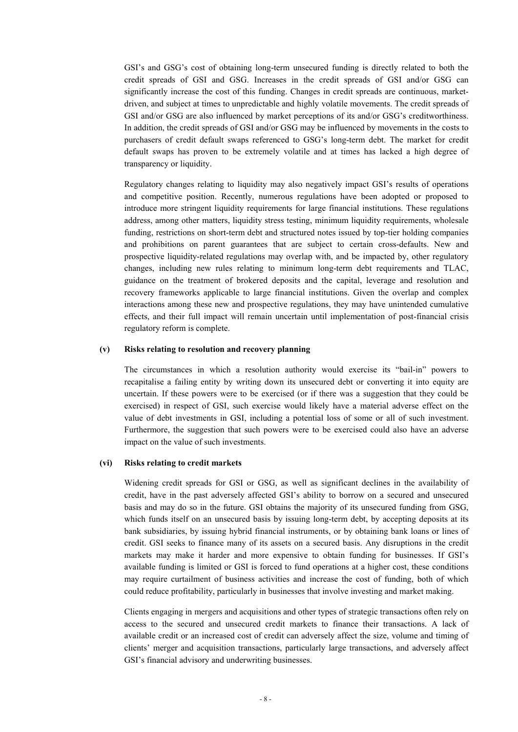GSI's and GSG's cost of obtaining long-term unsecured funding is directly related to both the credit spreads of GSI and GSG. Increases in the credit spreads of GSI and/or GSG can significantly increase the cost of this funding. Changes in credit spreads are continuous, marketdriven, and subject at times to unpredictable and highly volatile movements. The credit spreads of GSI and/or GSG are also influenced by market perceptions of its and/or GSG's creditworthiness. In addition, the credit spreads of GSI and/or GSG may be influenced by movements in the costs to purchasers of credit default swaps referenced to GSG's long-term debt. The market for credit default swaps has proven to be extremely volatile and at times has lacked a high degree of transparency or liquidity.

Regulatory changes relating to liquidity may also negatively impact GSI's results of operations and competitive position. Recently, numerous regulations have been adopted or proposed to introduce more stringent liquidity requirements for large financial institutions. These regulations address, among other matters, liquidity stress testing, minimum liquidity requirements, wholesale funding, restrictions on short-term debt and structured notes issued by top-tier holding companies and prohibitions on parent guarantees that are subject to certain cross-defaults. New and prospective liquidity-related regulations may overlap with, and be impacted by, other regulatory changes, including new rules relating to minimum long-term debt requirements and TLAC, guidance on the treatment of brokered deposits and the capital, leverage and resolution and recovery frameworks applicable to large financial institutions. Given the overlap and complex interactions among these new and prospective regulations, they may have unintended cumulative effects, and their full impact will remain uncertain until implementation of post-financial crisis regulatory reform is complete.

#### **(v) Risks relating to resolution and recovery planning**

The circumstances in which a resolution authority would exercise its "bail-in" powers to recapitalise a failing entity by writing down its unsecured debt or converting it into equity are uncertain. If these powers were to be exercised (or if there was a suggestion that they could be exercised) in respect of GSI, such exercise would likely have a material adverse effect on the value of debt investments in GSI, including a potential loss of some or all of such investment. Furthermore, the suggestion that such powers were to be exercised could also have an adverse impact on the value of such investments.

#### **(vi) Risks relating to credit markets**

Widening credit spreads for GSI or GSG, as well as significant declines in the availability of credit, have in the past adversely affected GSI's ability to borrow on a secured and unsecured basis and may do so in the future. GSI obtains the majority of its unsecured funding from GSG, which funds itself on an unsecured basis by issuing long-term debt, by accepting deposits at its bank subsidiaries, by issuing hybrid financial instruments, or by obtaining bank loans or lines of credit. GSI seeks to finance many of its assets on a secured basis. Any disruptions in the credit markets may make it harder and more expensive to obtain funding for businesses. If GSI's available funding is limited or GSI is forced to fund operations at a higher cost, these conditions may require curtailment of business activities and increase the cost of funding, both of which could reduce profitability, particularly in businesses that involve investing and market making.

Clients engaging in mergers and acquisitions and other types of strategic transactions often rely on access to the secured and unsecured credit markets to finance their transactions. A lack of available credit or an increased cost of credit can adversely affect the size, volume and timing of clients' merger and acquisition transactions, particularly large transactions, and adversely affect GSI's financial advisory and underwriting businesses.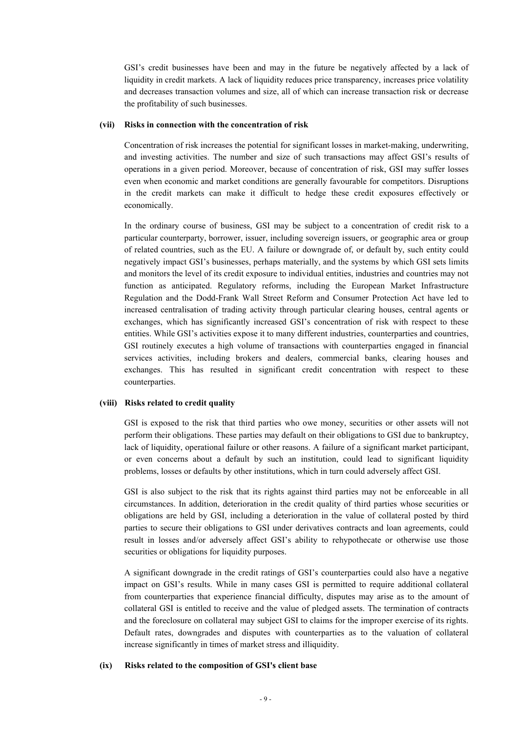GSI's credit businesses have been and may in the future be negatively affected by a lack of liquidity in credit markets. A lack of liquidity reduces price transparency, increases price volatility and decreases transaction volumes and size, all of which can increase transaction risk or decrease the profitability of such businesses.

### **(vii) Risks in connection with the concentration of risk**

Concentration of risk increases the potential for significant losses in market-making, underwriting, and investing activities. The number and size of such transactions may affect GSI's results of operations in a given period. Moreover, because of concentration of risk, GSI may suffer losses even when economic and market conditions are generally favourable for competitors. Disruptions in the credit markets can make it difficult to hedge these credit exposures effectively or economically.

In the ordinary course of business, GSI may be subject to a concentration of credit risk to a particular counterparty, borrower, issuer, including sovereign issuers, or geographic area or group of related countries, such as the EU. A failure or downgrade of, or default by, such entity could negatively impact GSI's businesses, perhaps materially, and the systems by which GSI sets limits and monitors the level of its credit exposure to individual entities, industries and countries may not function as anticipated. Regulatory reforms, including the European Market Infrastructure Regulation and the Dodd-Frank Wall Street Reform and Consumer Protection Act have led to increased centralisation of trading activity through particular clearing houses, central agents or exchanges, which has significantly increased GSI's concentration of risk with respect to these entities. While GSI's activities expose it to many different industries, counterparties and countries, GSI routinely executes a high volume of transactions with counterparties engaged in financial services activities, including brokers and dealers, commercial banks, clearing houses and exchanges. This has resulted in significant credit concentration with respect to these counterparties.

#### **(viii) Risks related to credit quality**

GSI is exposed to the risk that third parties who owe money, securities or other assets will not perform their obligations. These parties may default on their obligations to GSI due to bankruptcy, lack of liquidity, operational failure or other reasons. A failure of a significant market participant, or even concerns about a default by such an institution, could lead to significant liquidity problems, losses or defaults by other institutions, which in turn could adversely affect GSI.

GSI is also subject to the risk that its rights against third parties may not be enforceable in all circumstances. In addition, deterioration in the credit quality of third parties whose securities or obligations are held by GSI, including a deterioration in the value of collateral posted by third parties to secure their obligations to GSI under derivatives contracts and loan agreements, could result in losses and/or adversely affect GSI's ability to rehypothecate or otherwise use those securities or obligations for liquidity purposes.

A significant downgrade in the credit ratings of GSI's counterparties could also have a negative impact on GSI's results. While in many cases GSI is permitted to require additional collateral from counterparties that experience financial difficulty, disputes may arise as to the amount of collateral GSI is entitled to receive and the value of pledged assets. The termination of contracts and the foreclosure on collateral may subject GSI to claims for the improper exercise of its rights. Default rates, downgrades and disputes with counterparties as to the valuation of collateral increase significantly in times of market stress and illiquidity.

### **(ix) Risks related to the composition of GSI's client base**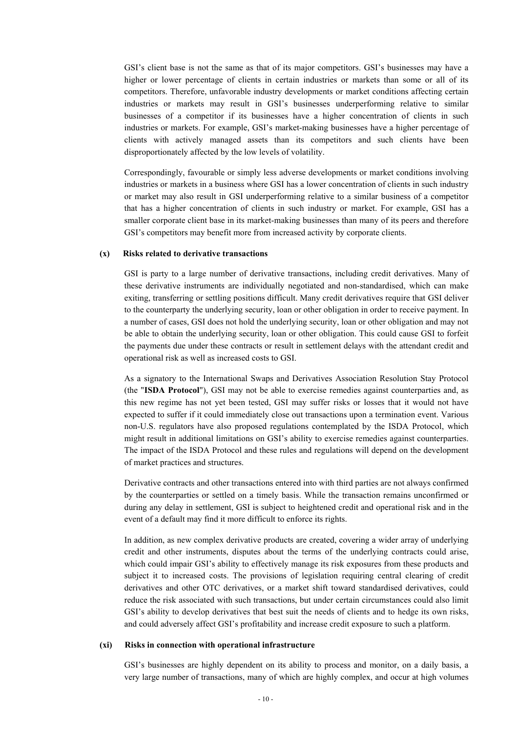GSI's client base is not the same as that of its major competitors. GSI's businesses may have a higher or lower percentage of clients in certain industries or markets than some or all of its competitors. Therefore, unfavorable industry developments or market conditions affecting certain industries or markets may result in GSI's businesses underperforming relative to similar businesses of a competitor if its businesses have a higher concentration of clients in such industries or markets. For example, GSI's market-making businesses have a higher percentage of clients with actively managed assets than its competitors and such clients have been disproportionately affected by the low levels of volatility.

Correspondingly, favourable or simply less adverse developments or market conditions involving industries or markets in a business where GSI has a lower concentration of clients in such industry or market may also result in GSI underperforming relative to a similar business of a competitor that has a higher concentration of clients in such industry or market. For example, GSI has a smaller corporate client base in its market-making businesses than many of its peers and therefore GSI's competitors may benefit more from increased activity by corporate clients.

#### **(x) Risks related to derivative transactions**

GSI is party to a large number of derivative transactions, including credit derivatives. Many of these derivative instruments are individually negotiated and non-standardised, which can make exiting, transferring or settling positions difficult. Many credit derivatives require that GSI deliver to the counterparty the underlying security, loan or other obligation in order to receive payment. In a number of cases, GSI does not hold the underlying security, loan or other obligation and may not be able to obtain the underlying security, loan or other obligation. This could cause GSI to forfeit the payments due under these contracts or result in settlement delays with the attendant credit and operational risk as well as increased costs to GSI.

As a signatory to the International Swaps and Derivatives Association Resolution Stay Protocol (the "**ISDA Protocol**"), GSI may not be able to exercise remedies against counterparties and, as this new regime has not yet been tested, GSI may suffer risks or losses that it would not have expected to suffer if it could immediately close out transactions upon a termination event. Various non-U.S. regulators have also proposed regulations contemplated by the ISDA Protocol, which might result in additional limitations on GSI's ability to exercise remedies against counterparties. The impact of the ISDA Protocol and these rules and regulations will depend on the development of market practices and structures.

Derivative contracts and other transactions entered into with third parties are not always confirmed by the counterparties or settled on a timely basis. While the transaction remains unconfirmed or during any delay in settlement, GSI is subject to heightened credit and operational risk and in the event of a default may find it more difficult to enforce its rights.

In addition, as new complex derivative products are created, covering a wider array of underlying credit and other instruments, disputes about the terms of the underlying contracts could arise, which could impair GSI's ability to effectively manage its risk exposures from these products and subject it to increased costs. The provisions of legislation requiring central clearing of credit derivatives and other OTC derivatives, or a market shift toward standardised derivatives, could reduce the risk associated with such transactions, but under certain circumstances could also limit GSI's ability to develop derivatives that best suit the needs of clients and to hedge its own risks, and could adversely affect GSI's profitability and increase credit exposure to such a platform.

#### **(xi) Risks in connection with operational infrastructure**

GSI's businesses are highly dependent on its ability to process and monitor, on a daily basis, a very large number of transactions, many of which are highly complex, and occur at high volumes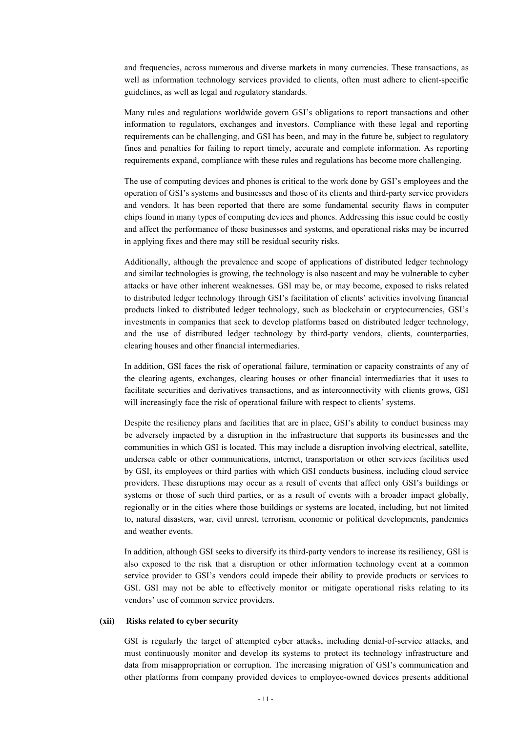and frequencies, across numerous and diverse markets in many currencies. These transactions, as well as information technology services provided to clients, often must adhere to client-specific guidelines, as well as legal and regulatory standards.

Many rules and regulations worldwide govern GSI's obligations to report transactions and other information to regulators, exchanges and investors. Compliance with these legal and reporting requirements can be challenging, and GSI has been, and may in the future be, subject to regulatory fines and penalties for failing to report timely, accurate and complete information. As reporting requirements expand, compliance with these rules and regulations has become more challenging.

The use of computing devices and phones is critical to the work done by GSI's employees and the operation of GSI's systems and businesses and those of its clients and third-party service providers and vendors. It has been reported that there are some fundamental security flaws in computer chips found in many types of computing devices and phones. Addressing this issue could be costly and affect the performance of these businesses and systems, and operational risks may be incurred in applying fixes and there may still be residual security risks.

Additionally, although the prevalence and scope of applications of distributed ledger technology and similar technologies is growing, the technology is also nascent and may be vulnerable to cyber attacks or have other inherent weaknesses. GSI may be, or may become, exposed to risks related to distributed ledger technology through GSI's facilitation of clients' activities involving financial products linked to distributed ledger technology, such as blockchain or cryptocurrencies, GSI's investments in companies that seek to develop platforms based on distributed ledger technology, and the use of distributed ledger technology by third-party vendors, clients, counterparties, clearing houses and other financial intermediaries.

In addition, GSI faces the risk of operational failure, termination or capacity constraints of any of the clearing agents, exchanges, clearing houses or other financial intermediaries that it uses to facilitate securities and derivatives transactions, and as interconnectivity with clients grows, GSI will increasingly face the risk of operational failure with respect to clients' systems.

Despite the resiliency plans and facilities that are in place, GSI's ability to conduct business may be adversely impacted by a disruption in the infrastructure that supports its businesses and the communities in which GSI is located. This may include a disruption involving electrical, satellite, undersea cable or other communications, internet, transportation or other services facilities used by GSI, its employees or third parties with which GSI conducts business, including cloud service providers. These disruptions may occur as a result of events that affect only GSI's buildings or systems or those of such third parties, or as a result of events with a broader impact globally, regionally or in the cities where those buildings or systems are located, including, but not limited to, natural disasters, war, civil unrest, terrorism, economic or political developments, pandemics and weather events.

In addition, although GSI seeks to diversify its third-party vendors to increase its resiliency, GSI is also exposed to the risk that a disruption or other information technology event at a common service provider to GSI's vendors could impede their ability to provide products or services to GSI. GSI may not be able to effectively monitor or mitigate operational risks relating to its vendors' use of common service providers.

#### **(xii) Risks related to cyber security**

GSI is regularly the target of attempted cyber attacks, including denial-of-service attacks, and must continuously monitor and develop its systems to protect its technology infrastructure and data from misappropriation or corruption. The increasing migration of GSI's communication and other platforms from company provided devices to employee-owned devices presents additional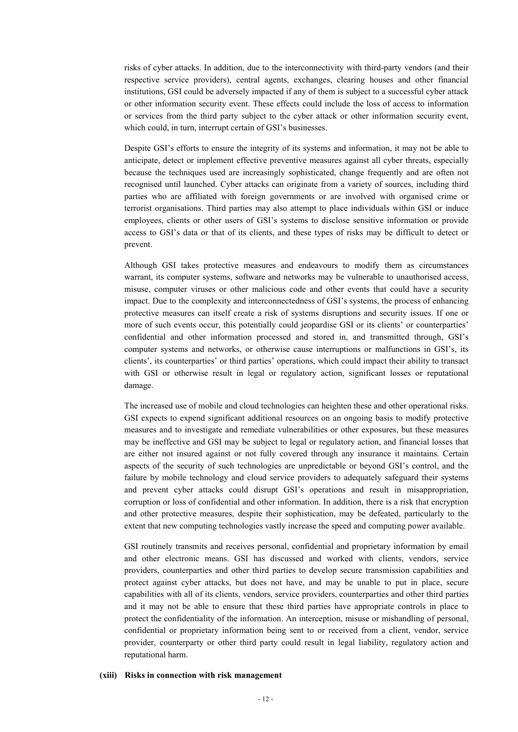risks of cyber attacks. In addition, due to the interconnectivity with third-party vendors (and their respective service providers), central agents, exchanges, clearing houses and other financial institutions, GSI could be adversely impacted if any of them is subject to a successful cyber attack or other information security event. These effects could include the loss of access to information or services from the third party subject to the cyber attack or other information security event, which could, in turn, interrupt certain of GSI's businesses.

Despite GSI's efforts to ensure the integrity of its systems and information, it may not be able to anticipate, detect or implement effective preventive measures against all cyber threats, especially because the techniques used are increasingly sophisticated, change frequently and are often not recognised until launched. Cyber attacks can originate from a variety of sources, including third parties who are affiliated with foreign governments or are involved with organised crime or terrorist organisations. Third parties may also attempt to place individuals within GSI or induce employees, clients or other users of GSI's systems to disclose sensitive information or provide access to GSI's data or that of its clients, and these types of risks may be difficult to detect or prevent.

Although GSI takes protective measures and endeavours to modify them as circumstances warrant, its computer systems, software and networks may be vulnerable to unauthorised access, misuse, computer viruses or other malicious code and other events that could have a security impact. Due to the complexity and interconnectedness of GSI's systems, the process of enhancing protective measures can itself create a risk of systems disruptions and security issues. If one or more of such events occur, this potentially could jeopardise GSI or its clients' or counterparties' confidential and other information processed and stored in, and transmitted through, GSI's computer systems and networks, or otherwise cause interruptions or malfunctions in GSI's, its clients', its counterparties' or third parties' operations, which could impact their ability to transact with GSI or otherwise result in legal or regulatory action, significant losses or reputational damage.

The increased use of mobile and cloud technologies can heighten these and other operational risks. GSI expects to expend significant additional resources on an ongoing basis to modify protective measures and to investigate and remediate vulnerabilities or other exposures, but these measures may be ineffective and GSI may be subject to legal or regulatory action, and financial losses that are either not insured against or not fully covered through any insurance it maintains. Certain aspects of the security of such technologies are unpredictable or beyond GSI's control, and the failure by mobile technology and cloud service providers to adequately safeguard their systems and prevent cyber attacks could disrupt GSI's operations and result in misappropriation, corruption or loss of confidential and other information. In addition, there is a risk that encryption and other protective measures, despite their sophistication, may be defeated, particularly to the extent that new computing technologies vastly increase the speed and computing power available.

GSI routinely transmits and receives personal, confidential and proprietary information by email and other electronic means. GSI has discussed and worked with clients, vendors, service providers, counterparties and other third parties to develop secure transmission capabilities and protect against cyber attacks, but does not have, and may be unable to put in place, secure capabilities with all of its clients, vendors, service providers, counterparties and other third parties and it may not be able to ensure that these third parties have appropriate controls in place to protect the confidentiality of the information. An interception, misuse or mishandling of personal, confidential or proprietary information being sent to or received from a client, vendor, service provider, counterparty or other third party could result in legal liability, regulatory action and reputational harm.

#### **(xiii) Risks in connection with risk management**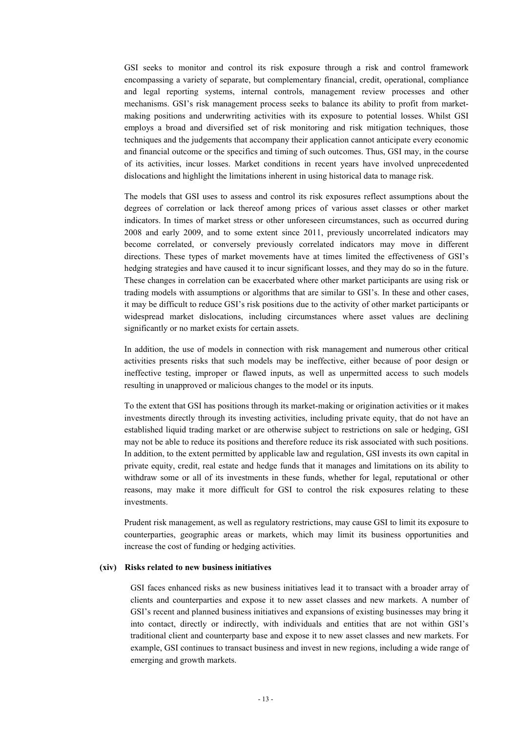GSI seeks to monitor and control its risk exposure through a risk and control framework encompassing a variety of separate, but complementary financial, credit, operational, compliance and legal reporting systems, internal controls, management review processes and other mechanisms. GSI's risk management process seeks to balance its ability to profit from marketmaking positions and underwriting activities with its exposure to potential losses. Whilst GSI employs a broad and diversified set of risk monitoring and risk mitigation techniques, those techniques and the judgements that accompany their application cannot anticipate every economic and financial outcome or the specifics and timing of such outcomes. Thus, GSI may, in the course of its activities, incur losses. Market conditions in recent years have involved unprecedented dislocations and highlight the limitations inherent in using historical data to manage risk.

The models that GSI uses to assess and control its risk exposures reflect assumptions about the degrees of correlation or lack thereof among prices of various asset classes or other market indicators. In times of market stress or other unforeseen circumstances, such as occurred during 2008 and early 2009, and to some extent since 2011, previously uncorrelated indicators may become correlated, or conversely previously correlated indicators may move in different directions. These types of market movements have at times limited the effectiveness of GSI's hedging strategies and have caused it to incur significant losses, and they may do so in the future. These changes in correlation can be exacerbated where other market participants are using risk or trading models with assumptions or algorithms that are similar to GSI's. In these and other cases, it may be difficult to reduce GSI's risk positions due to the activity of other market participants or widespread market dislocations, including circumstances where asset values are declining significantly or no market exists for certain assets.

In addition, the use of models in connection with risk management and numerous other critical activities presents risks that such models may be ineffective, either because of poor design or ineffective testing, improper or flawed inputs, as well as unpermitted access to such models resulting in unapproved or malicious changes to the model or its inputs.

To the extent that GSI has positions through its market-making or origination activities or it makes investments directly through its investing activities, including private equity, that do not have an established liquid trading market or are otherwise subject to restrictions on sale or hedging, GSI may not be able to reduce its positions and therefore reduce its risk associated with such positions. In addition, to the extent permitted by applicable law and regulation, GSI invests its own capital in private equity, credit, real estate and hedge funds that it manages and limitations on its ability to withdraw some or all of its investments in these funds, whether for legal, reputational or other reasons, may make it more difficult for GSI to control the risk exposures relating to these investments.

Prudent risk management, as well as regulatory restrictions, may cause GSI to limit its exposure to counterparties, geographic areas or markets, which may limit its business opportunities and increase the cost of funding or hedging activities.

#### **(xiv) Risks related to new business initiatives**

GSI faces enhanced risks as new business initiatives lead it to transact with a broader array of clients and counterparties and expose it to new asset classes and new markets. A number of GSI's recent and planned business initiatives and expansions of existing businesses may bring it into contact, directly or indirectly, with individuals and entities that are not within GSI's traditional client and counterparty base and expose it to new asset classes and new markets. For example, GSI continues to transact business and invest in new regions, including a wide range of emerging and growth markets.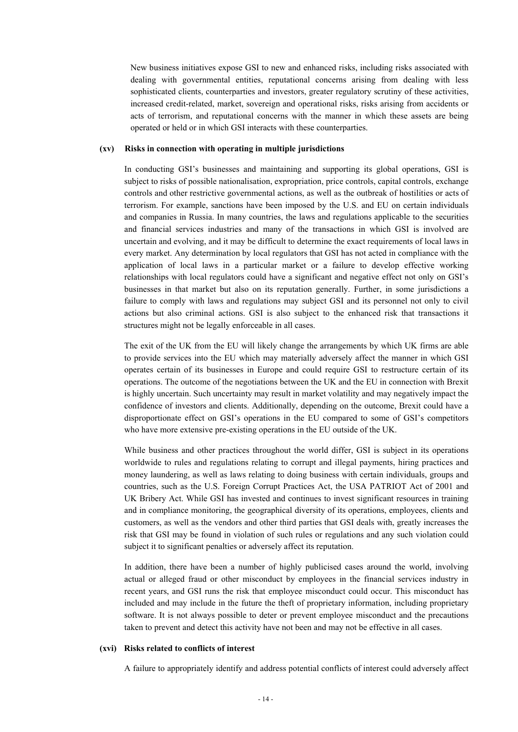New business initiatives expose GSI to new and enhanced risks, including risks associated with dealing with governmental entities, reputational concerns arising from dealing with less sophisticated clients, counterparties and investors, greater regulatory scrutiny of these activities, increased credit-related, market, sovereign and operational risks, risks arising from accidents or acts of terrorism, and reputational concerns with the manner in which these assets are being operated or held or in which GSI interacts with these counterparties.

#### **(xv) Risks in connection with operating in multiple jurisdictions**

In conducting GSI's businesses and maintaining and supporting its global operations, GSI is subject to risks of possible nationalisation, expropriation, price controls, capital controls, exchange controls and other restrictive governmental actions, as well as the outbreak of hostilities or acts of terrorism. For example, sanctions have been imposed by the U.S. and EU on certain individuals and companies in Russia. In many countries, the laws and regulations applicable to the securities and financial services industries and many of the transactions in which GSI is involved are uncertain and evolving, and it may be difficult to determine the exact requirements of local laws in every market. Any determination by local regulators that GSI has not acted in compliance with the application of local laws in a particular market or a failure to develop effective working relationships with local regulators could have a significant and negative effect not only on GSI's businesses in that market but also on its reputation generally. Further, in some jurisdictions a failure to comply with laws and regulations may subject GSI and its personnel not only to civil actions but also criminal actions. GSI is also subject to the enhanced risk that transactions it structures might not be legally enforceable in all cases.

The exit of the UK from the EU will likely change the arrangements by which UK firms are able to provide services into the EU which may materially adversely affect the manner in which GSI operates certain of its businesses in Europe and could require GSI to restructure certain of its operations. The outcome of the negotiations between the UK and the EU in connection with Brexit is highly uncertain. Such uncertainty may result in market volatility and may negatively impact the confidence of investors and clients. Additionally, depending on the outcome, Brexit could have a disproportionate effect on GSI's operations in the EU compared to some of GSI's competitors who have more extensive pre-existing operations in the EU outside of the UK.

While business and other practices throughout the world differ, GSI is subject in its operations worldwide to rules and regulations relating to corrupt and illegal payments, hiring practices and money laundering, as well as laws relating to doing business with certain individuals, groups and countries, such as the U.S. Foreign Corrupt Practices Act, the USA PATRIOT Act of 2001 and UK Bribery Act. While GSI has invested and continues to invest significant resources in training and in compliance monitoring, the geographical diversity of its operations, employees, clients and customers, as well as the vendors and other third parties that GSI deals with, greatly increases the risk that GSI may be found in violation of such rules or regulations and any such violation could subject it to significant penalties or adversely affect its reputation.

In addition, there have been a number of highly publicised cases around the world, involving actual or alleged fraud or other misconduct by employees in the financial services industry in recent years, and GSI runs the risk that employee misconduct could occur. This misconduct has included and may include in the future the theft of proprietary information, including proprietary software. It is not always possible to deter or prevent employee misconduct and the precautions taken to prevent and detect this activity have not been and may not be effective in all cases.

#### **(xvi) Risks related to conflicts of interest**

A failure to appropriately identify and address potential conflicts of interest could adversely affect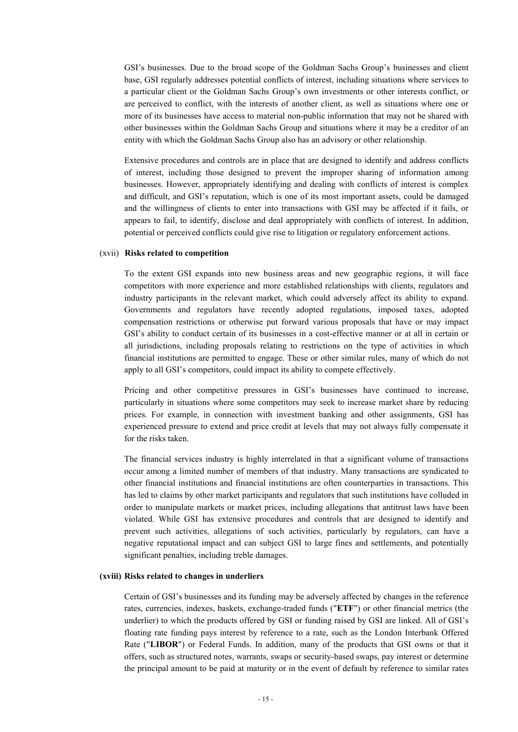GSI's businesses. Due to the broad scope of the Goldman Sachs Group's businesses and client base, GSI regularly addresses potential conflicts of interest, including situations where services to a particular client or the Goldman Sachs Group's own investments or other interests conflict, or are perceived to conflict, with the interests of another client, as well as situations where one or more of its businesses have access to material non-public information that may not be shared with other businesses within the Goldman Sachs Group and situations where it may be a creditor of an entity with which the Goldman Sachs Group also has an advisory or other relationship.

Extensive procedures and controls are in place that are designed to identify and address conflicts of interest, including those designed to prevent the improper sharing of information among businesses. However, appropriately identifying and dealing with conflicts of interest is complex and difficult, and GSI's reputation, which is one of its most important assets, could be damaged and the willingness of clients to enter into transactions with GSI may be affected if it fails, or appears to fail, to identify, disclose and deal appropriately with conflicts of interest. In addition, potential or perceived conflicts could give rise to litigation or regulatory enforcement actions.

#### (xvii) **Risks related to competition**

To the extent GSI expands into new business areas and new geographic regions, it will face competitors with more experience and more established relationships with clients, regulators and industry participants in the relevant market, which could adversely affect its ability to expand. Governments and regulators have recently adopted regulations, imposed taxes, adopted compensation restrictions or otherwise put forward various proposals that have or may impact GSI's ability to conduct certain of its businesses in a cost-effective manner or at all in certain or all jurisdictions, including proposals relating to restrictions on the type of activities in which financial institutions are permitted to engage. These or other similar rules, many of which do not apply to all GSI's competitors, could impact its ability to compete effectively.

Pricing and other competitive pressures in GSI's businesses have continued to increase, particularly in situations where some competitors may seek to increase market share by reducing prices. For example, in connection with investment banking and other assignments, GSI has experienced pressure to extend and price credit at levels that may not always fully compensate it for the risks taken.

The financial services industry is highly interrelated in that a significant volume of transactions occur among a limited number of members of that industry. Many transactions are syndicated to other financial institutions and financial institutions are often counterparties in transactions. This has led to claims by other market participants and regulators that such institutions have colluded in order to manipulate markets or market prices, including allegations that antitrust laws have been violated. While GSI has extensive procedures and controls that are designed to identify and prevent such activities, allegations of such activities, particularly by regulators, can have a negative reputational impact and can subject GSI to large fines and settlements, and potentially significant penalties, including treble damages.

### **(xviii) Risks related to changes in underliers**

Certain of GSI's businesses and its funding may be adversely affected by changes in the reference rates, currencies, indexes, baskets, exchange-traded funds ("**ETF**") or other financial metrics (the underlier) to which the products offered by GSI or funding raised by GSI are linked. All of GSI's floating rate funding pays interest by reference to a rate, such as the London Interbank Offered Rate ("**LIBOR**") or Federal Funds. In addition, many of the products that GSI owns or that it offers, such as structured notes, warrants, swaps or security-based swaps, pay interest or determine the principal amount to be paid at maturity or in the event of default by reference to similar rates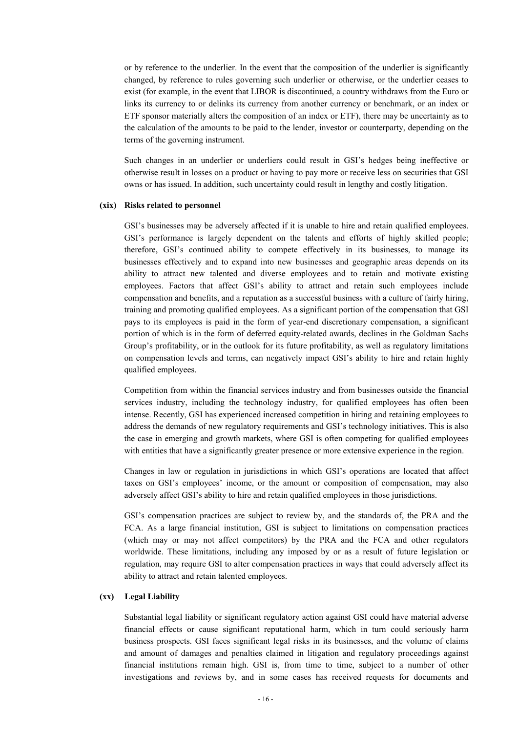or by reference to the underlier. In the event that the composition of the underlier is significantly changed, by reference to rules governing such underlier or otherwise, or the underlier ceases to exist (for example, in the event that LIBOR is discontinued, a country withdraws from the Euro or links its currency to or delinks its currency from another currency or benchmark, or an index or ETF sponsor materially alters the composition of an index or ETF), there may be uncertainty as to the calculation of the amounts to be paid to the lender, investor or counterparty, depending on the terms of the governing instrument.

Such changes in an underlier or underliers could result in GSI's hedges being ineffective or otherwise result in losses on a product or having to pay more or receive less on securities that GSI owns or has issued. In addition, such uncertainty could result in lengthy and costly litigation.

### **(xix) Risks related to personnel**

GSI's businesses may be adversely affected if it is unable to hire and retain qualified employees. GSI's performance is largely dependent on the talents and efforts of highly skilled people; therefore, GSI's continued ability to compete effectively in its businesses, to manage its businesses effectively and to expand into new businesses and geographic areas depends on its ability to attract new talented and diverse employees and to retain and motivate existing employees. Factors that affect GSI's ability to attract and retain such employees include compensation and benefits, and a reputation as a successful business with a culture of fairly hiring, training and promoting qualified employees. As a significant portion of the compensation that GSI pays to its employees is paid in the form of year-end discretionary compensation, a significant portion of which is in the form of deferred equity-related awards, declines in the Goldman Sachs Group's profitability, or in the outlook for its future profitability, as well as regulatory limitations on compensation levels and terms, can negatively impact GSI's ability to hire and retain highly qualified employees.

Competition from within the financial services industry and from businesses outside the financial services industry, including the technology industry, for qualified employees has often been intense. Recently, GSI has experienced increased competition in hiring and retaining employees to address the demands of new regulatory requirements and GSI's technology initiatives. This is also the case in emerging and growth markets, where GSI is often competing for qualified employees with entities that have a significantly greater presence or more extensive experience in the region.

Changes in law or regulation in jurisdictions in which GSI's operations are located that affect taxes on GSI's employees' income, or the amount or composition of compensation, may also adversely affect GSI's ability to hire and retain qualified employees in those jurisdictions.

GSI's compensation practices are subject to review by, and the standards of, the PRA and the FCA. As a large financial institution, GSI is subject to limitations on compensation practices (which may or may not affect competitors) by the PRA and the FCA and other regulators worldwide. These limitations, including any imposed by or as a result of future legislation or regulation, may require GSI to alter compensation practices in ways that could adversely affect its ability to attract and retain talented employees.

#### **(xx) Legal Liability**

Substantial legal liability or significant regulatory action against GSI could have material adverse financial effects or cause significant reputational harm, which in turn could seriously harm business prospects. GSI faces significant legal risks in its businesses, and the volume of claims and amount of damages and penalties claimed in litigation and regulatory proceedings against financial institutions remain high. GSI is, from time to time, subject to a number of other investigations and reviews by, and in some cases has received requests for documents and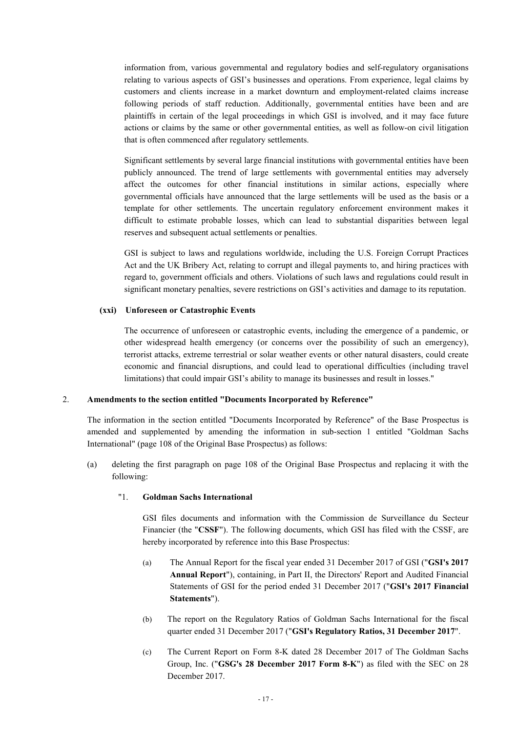information from, various governmental and regulatory bodies and self-regulatory organisations relating to various aspects of GSI's businesses and operations. From experience, legal claims by customers and clients increase in a market downturn and employment-related claims increase following periods of staff reduction. Additionally, governmental entities have been and are plaintiffs in certain of the legal proceedings in which GSI is involved, and it may face future actions or claims by the same or other governmental entities, as well as follow-on civil litigation that is often commenced after regulatory settlements.

Significant settlements by several large financial institutions with governmental entities have been publicly announced. The trend of large settlements with governmental entities may adversely affect the outcomes for other financial institutions in similar actions, especially where governmental officials have announced that the large settlements will be used as the basis or a template for other settlements. The uncertain regulatory enforcement environment makes it difficult to estimate probable losses, which can lead to substantial disparities between legal reserves and subsequent actual settlements or penalties.

GSI is subject to laws and regulations worldwide, including the U.S. Foreign Corrupt Practices Act and the UK Bribery Act, relating to corrupt and illegal payments to, and hiring practices with regard to, government officials and others. Violations of such laws and regulations could result in significant monetary penalties, severe restrictions on GSI's activities and damage to its reputation.

### **(xxi) Unforeseen or Catastrophic Events**

The occurrence of unforeseen or catastrophic events, including the emergence of a pandemic, or other widespread health emergency (or concerns over the possibility of such an emergency), terrorist attacks, extreme terrestrial or solar weather events or other natural disasters, could create economic and financial disruptions, and could lead to operational difficulties (including travel limitations) that could impair GSI's ability to manage its businesses and result in losses."

### 2. **Amendments to the section entitled "Documents Incorporated by Reference"**

The information in the section entitled "Documents Incorporated by Reference" of the Base Prospectus is amended and supplemented by amending the information in sub-section 1 entitled "Goldman Sachs International" (page 108 of the Original Base Prospectus) as follows:

(a) deleting the first paragraph on page 108 of the Original Base Prospectus and replacing it with the following:

### "1. **Goldman Sachs International**

GSI files documents and information with the Commission de Surveillance du Secteur Financier (the "**CSSF**"). The following documents, which GSI has filed with the CSSF, are hereby incorporated by reference into this Base Prospectus:

- (a) The Annual Report for the fiscal year ended 31 December 2017 of GSI ("**GSI's 2017 Annual Report**"), containing, in Part II, the Directors' Report and Audited Financial Statements of GSI for the period ended 31 December 2017 ("**GSI's 2017 Financial Statements**").
- (b) The report on the Regulatory Ratios of Goldman Sachs International for the fiscal quarter ended 31 December 2017 ("**GSI's Regulatory Ratios, 31 December 2017**".
- (c) The Current Report on Form 8-K dated 28 December 2017 of The Goldman Sachs Group, Inc. ("**GSG's 28 December 2017 Form 8-K**") as filed with the SEC on 28 December 2017.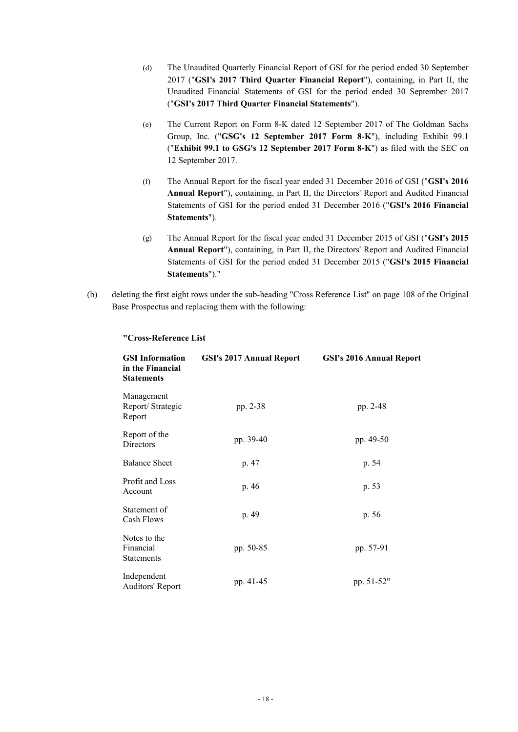- (d) The Unaudited Quarterly Financial Report of GSI for the period ended 30 September 2017 ("**GSI's 2017 Third Quarter Financial Report**"), containing, in Part II, the Unaudited Financial Statements of GSI for the period ended 30 September 2017 ("**GSI's 2017 Third Quarter Financial Statements**").
- (e) The Current Report on Form 8-K dated 12 September 2017 of The Goldman Sachs Group, Inc. ("**GSG's 12 September 2017 Form 8-K**"), including Exhibit 99.1 ("**Exhibit 99.1 to GSG's 12 September 2017 Form 8-K**") as filed with the SEC on 12 September 2017.
- (f) The Annual Report for the fiscal year ended 31 December 2016 of GSI ("**GSI's 2016 Annual Report**"), containing, in Part II, the Directors' Report and Audited Financial Statements of GSI for the period ended 31 December 2016 ("**GSI's 2016 Financial Statements**").
- (g) The Annual Report for the fiscal year ended 31 December 2015 of GSI ("**GSI's 2015 Annual Report**"), containing, in Part II, the Directors' Report and Audited Financial Statements of GSI for the period ended 31 December 2015 ("**GSI's 2015 Financial Statements**")."
- (b) deleting the first eight rows under the sub-heading "Cross Reference List" on page 108 of the Original Base Prospectus and replacing them with the following:

| <b>GSI</b> Information<br>in the Financial<br><b>Statements</b> | <b>GSI's 2017 Annual Report</b> | <b>GSI's 2016 Annual Report</b> |
|-----------------------------------------------------------------|---------------------------------|---------------------------------|
| Management<br>Report/Strategic<br>Report                        | pp. 2-38                        | pp. 2-48                        |
| Report of the<br>Directors                                      | pp. 39-40                       | pp. 49-50                       |
| <b>Balance Sheet</b>                                            | p. 47                           | p. 54                           |
| Profit and Loss<br>Account                                      | p. 46                           | p. 53                           |
| Statement of<br>Cash Flows                                      | p. 49                           | p. 56                           |
| Notes to the<br>Financial<br><b>Statements</b>                  | pp. 50-85                       | pp. 57-91                       |
| Independent<br>Auditors' Report                                 | pp. 41-45                       | pp. 51-52"                      |

### **"Cross-Reference List**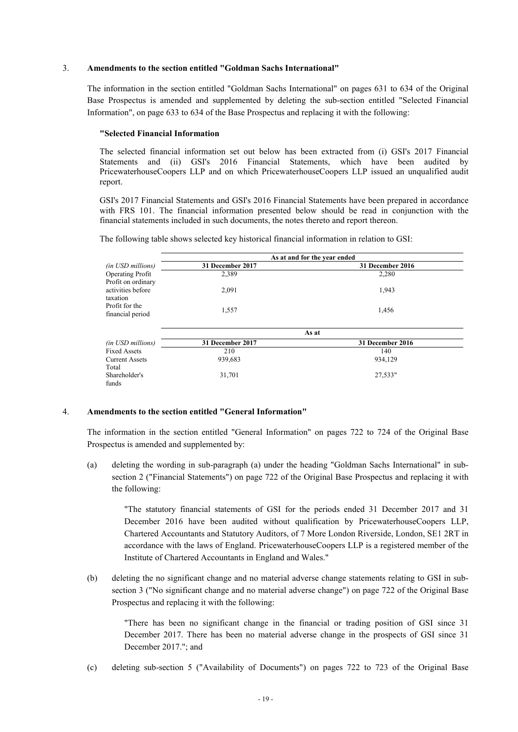### 3. **Amendments to the section entitled "Goldman Sachs International"**

The information in the section entitled "Goldman Sachs International" on pages 631 to 634 of the Original Base Prospectus is amended and supplemented by deleting the sub-section entitled "Selected Financial Information", on page 633 to 634 of the Base Prospectus and replacing it with the following:

### **"Selected Financial Information**

The selected financial information set out below has been extracted from (i) GSI's 2017 Financial Statements and (ii) GSI's 2016 Financial Statements, which have been audited by PricewaterhouseCoopers LLP and on which PricewaterhouseCoopers LLP issued an unqualified audit report.

GSI's 2017 Financial Statements and GSI's 2016 Financial Statements have been prepared in accordance with FRS 101. The financial information presented below should be read in conjunction with the financial statements included in such documents, the notes thereto and report thereon.

The following table shows selected key historical financial information in relation to GSI:

|                                                     | As at and for the year ended |                  |  |
|-----------------------------------------------------|------------------------------|------------------|--|
| <i>(in USD millions)</i>                            | 31 December 2017             | 31 December 2016 |  |
| <b>Operating Profit</b>                             | 2,389                        | 2,280            |  |
| Profit on ordinary<br>activities before<br>taxation | 2,091                        | 1,943            |  |
| Profit for the<br>financial period                  | 1,557                        | 1,456            |  |
|                                                     | As at                        |                  |  |
| (in USD millions)                                   | 31 December 2017             | 31 December 2016 |  |
| <b>Fixed Assets</b>                                 | 210                          | 140              |  |
| <b>Current Assets</b>                               | 939,683                      | 934,129          |  |
| Total                                               |                              |                  |  |
| Shareholder's                                       | 31,701                       | 27,533"          |  |
| funds                                               |                              |                  |  |

### 4. **Amendments to the section entitled "General Information"**

The information in the section entitled "General Information" on pages 722 to 724 of the Original Base Prospectus is amended and supplemented by:

(a) deleting the wording in sub-paragraph (a) under the heading "Goldman Sachs International" in subsection 2 ("Financial Statements") on page 722 of the Original Base Prospectus and replacing it with the following:

"The statutory financial statements of GSI for the periods ended 31 December 2017 and 31 December 2016 have been audited without qualification by PricewaterhouseCoopers LLP, Chartered Accountants and Statutory Auditors, of 7 More London Riverside, London, SE1 2RT in accordance with the laws of England. PricewaterhouseCoopers LLP is a registered member of the Institute of Chartered Accountants in England and Wales."

(b) deleting the no significant change and no material adverse change statements relating to GSI in subsection 3 ("No significant change and no material adverse change") on page 722 of the Original Base Prospectus and replacing it with the following:

"There has been no significant change in the financial or trading position of GSI since 31 December 2017. There has been no material adverse change in the prospects of GSI since 31 December 2017."; and

(c) deleting sub-section 5 ("Availability of Documents") on pages 722 to 723 of the Original Base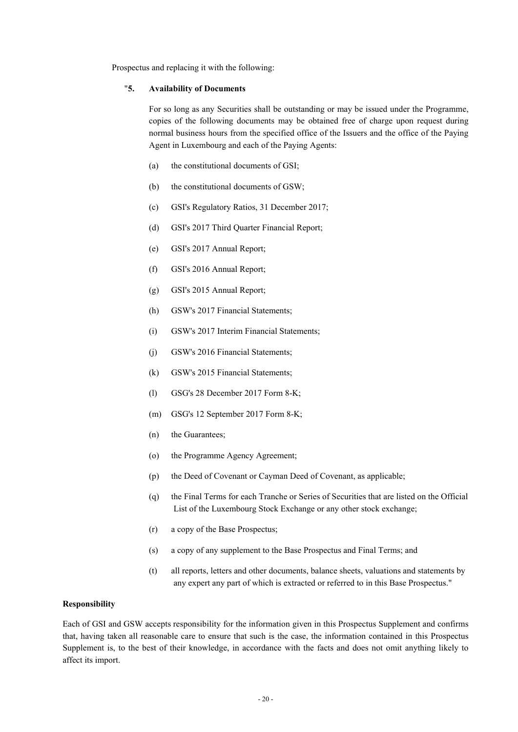Prospectus and replacing it with the following:

### "**5. Availability of Documents**

For so long as any Securities shall be outstanding or may be issued under the Programme, copies of the following documents may be obtained free of charge upon request during normal business hours from the specified office of the Issuers and the office of the Paying Agent in Luxembourg and each of the Paying Agents:

- (a) the constitutional documents of GSI;
- (b) the constitutional documents of GSW;
- (c) GSI's Regulatory Ratios, 31 December 2017;
- (d) GSI's 2017 Third Quarter Financial Report;
- (e) GSI's 2017 Annual Report;
- (f) GSI's 2016 Annual Report;
- (g) GSI's 2015 Annual Report;
- (h) GSW's 2017 Financial Statements;
- (i) GSW's 2017 Interim Financial Statements;
- (j) GSW's 2016 Financial Statements;
- (k) GSW's 2015 Financial Statements;
- (l) GSG's 28 December 2017 Form 8-K;
- (m) GSG's 12 September 2017 Form 8-K;
- (n) the Guarantees;
- (o) the Programme Agency Agreement;
- (p) the Deed of Covenant or Cayman Deed of Covenant, as applicable;
- (q) the Final Terms for each Tranche or Series of Securities that are listed on the Official List of the Luxembourg Stock Exchange or any other stock exchange;
- (r) a copy of the Base Prospectus;
- (s) a copy of any supplement to the Base Prospectus and Final Terms; and
- (t) all reports, letters and other documents, balance sheets, valuations and statements by any expert any part of which is extracted or referred to in this Base Prospectus."

### **Responsibility**

Each of GSI and GSW accepts responsibility for the information given in this Prospectus Supplement and confirms that, having taken all reasonable care to ensure that such is the case, the information contained in this Prospectus Supplement is, to the best of their knowledge, in accordance with the facts and does not omit anything likely to affect its import.